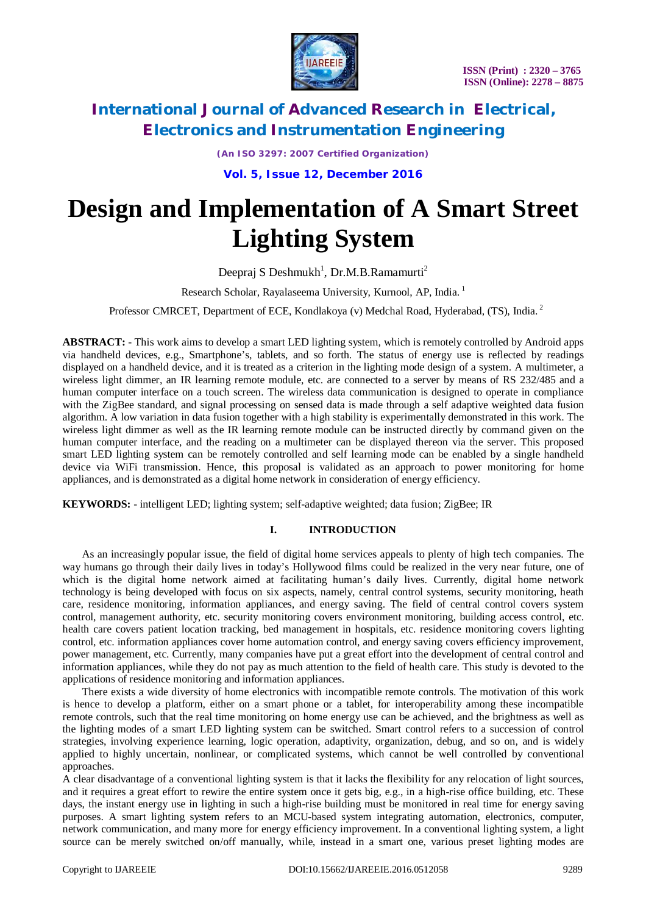

*(An ISO 3297: 2007 Certified Organization)*

**Vol. 5, Issue 12, December 2016**

# **Design and Implementation of A Smart Street Lighting System**

Deepraj S Deshmukh<sup>1</sup>, Dr.M.B.Ramamurti<sup>2</sup>

Research Scholar, Rayalaseema University, Kurnool, AP, India. <sup>1</sup>

Professor CMRCET, Department of ECE, Kondlakoya (v) Medchal Road, Hyderabad, (TS), India. <sup>2</sup>

**ABSTRACT:** - This work aims to develop a smart LED lighting system, which is remotely controlled by Android apps via handheld devices, e.g., Smartphone's, tablets, and so forth. The status of energy use is reflected by readings displayed on a handheld device, and it is treated as a criterion in the lighting mode design of a system. A multimeter, a wireless light dimmer, an IR learning remote module, etc. are connected to a server by means of RS 232/485 and a human computer interface on a touch screen. The wireless data communication is designed to operate in compliance with the ZigBee standard, and signal processing on sensed data is made through a self adaptive weighted data fusion algorithm. A low variation in data fusion together with a high stability is experimentally demonstrated in this work. The wireless light dimmer as well as the IR learning remote module can be instructed directly by command given on the human computer interface, and the reading on a multimeter can be displayed thereon via the server. This proposed smart LED lighting system can be remotely controlled and self learning mode can be enabled by a single handheld device via WiFi transmission. Hence, this proposal is validated as an approach to power monitoring for home appliances, and is demonstrated as a digital home network in consideration of energy efficiency.

**KEYWORDS:** - intelligent LED; lighting system; self-adaptive weighted; data fusion; ZigBee; IR

### **I. INTRODUCTION**

As an increasingly popular issue, the field of digital home services appeals to plenty of high tech companies. The way humans go through their daily lives in today's Hollywood films could be realized in the very near future, one of which is the digital home network aimed at facilitating human's daily lives. Currently, digital home network technology is being developed with focus on six aspects, namely, central control systems, security monitoring, heath care, residence monitoring, information appliances, and energy saving. The field of central control covers system control, management authority, etc. security monitoring covers environment monitoring, building access control, etc. health care covers patient location tracking, bed management in hospitals, etc. residence monitoring covers lighting control, etc. information appliances cover home automation control, and energy saving covers efficiency improvement, power management, etc. Currently, many companies have put a great effort into the development of central control and information appliances, while they do not pay as much attention to the field of health care. This study is devoted to the applications of residence monitoring and information appliances.

There exists a wide diversity of home electronics with incompatible remote controls. The motivation of this work is hence to develop a platform, either on a smart phone or a tablet, for interoperability among these incompatible remote controls, such that the real time monitoring on home energy use can be achieved, and the brightness as well as the lighting modes of a smart LED lighting system can be switched. Smart control refers to a succession of control strategies, involving experience learning, logic operation, adaptivity, organization, debug, and so on, and is widely applied to highly uncertain, nonlinear, or complicated systems, which cannot be well controlled by conventional approaches.

A clear disadvantage of a conventional lighting system is that it lacks the flexibility for any relocation of light sources, and it requires a great effort to rewire the entire system once it gets big, e.g., in a high-rise office building, etc. These days, the instant energy use in lighting in such a high-rise building must be monitored in real time for energy saving purposes. A smart lighting system refers to an MCU-based system integrating automation, electronics, computer, network communication, and many more for energy efficiency improvement. In a conventional lighting system, a light source can be merely switched on/off manually, while, instead in a smart one, various preset lighting modes are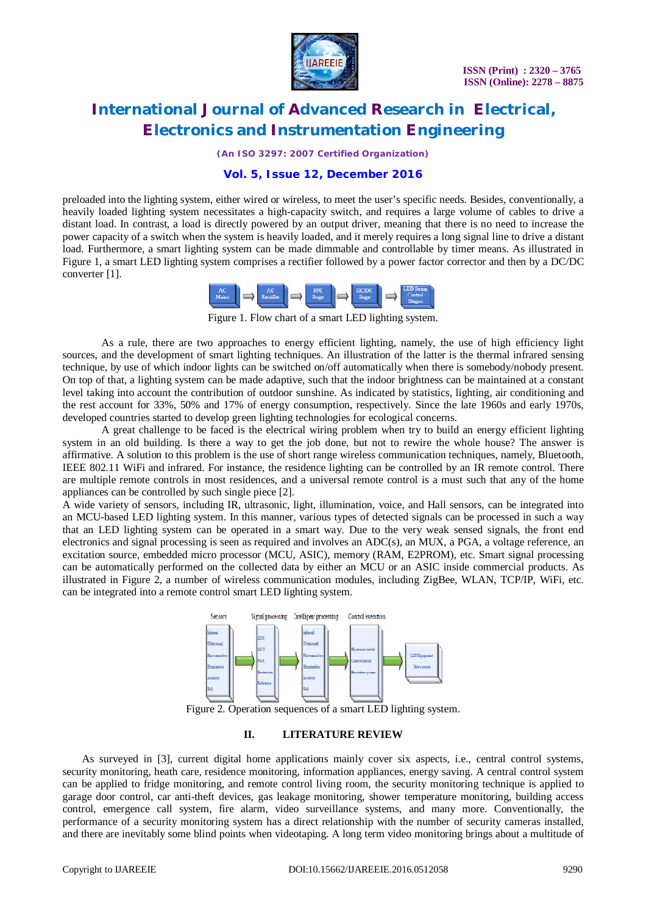

*(An ISO 3297: 2007 Certified Organization)*

### **Vol. 5, Issue 12, December 2016**

preloaded into the lighting system, either wired or wireless, to meet the user's specific needs. Besides, conventionally, a heavily loaded lighting system necessitates a high-capacity switch, and requires a large volume of cables to drive a distant load. In contrast, a load is directly powered by an output driver, meaning that there is no need to increase the power capacity of a switch when the system is heavily loaded, and it merely requires a long signal line to drive a distant load. Furthermore, a smart lighting system can be made dimmable and controllable by timer means. As illustrated in Figure 1, a smart LED lighting system comprises a rectifier followed by a power factor corrector and then by a DC/DC converter [1].



Figure 1. Flow chart of a smart LED lighting system.

As a rule, there are two approaches to energy efficient lighting, namely, the use of high efficiency light sources, and the development of smart lighting techniques. An illustration of the latter is the thermal infrared sensing technique, by use of which indoor lights can be switched on/off automatically when there is somebody/nobody present. On top of that, a lighting system can be made adaptive, such that the indoor brightness can be maintained at a constant level taking into account the contribution of outdoor sunshine. As indicated by statistics, lighting, air conditioning and the rest account for 33%, 50% and 17% of energy consumption, respectively. Since the late 1960s and early 1970s, developed countries started to develop green lighting technologies for ecological concerns.

A great challenge to be faced is the electrical wiring problem when try to build an energy efficient lighting system in an old building. Is there a way to get the job done, but not to rewire the whole house? The answer is affirmative. A solution to this problem is the use of short range wireless communication techniques, namely, Bluetooth, IEEE 802.11 WiFi and infrared. For instance, the residence lighting can be controlled by an IR remote control. There are multiple remote controls in most residences, and a universal remote control is a must such that any of the home appliances can be controlled by such single piece [2].

A wide variety of sensors, including IR, ultrasonic, light, illumination, voice, and Hall sensors, can be integrated into an MCU-based LED lighting system. In this manner, various types of detected signals can be processed in such a way that an LED lighting system can be operated in a smart way. Due to the very weak sensed signals, the front end electronics and signal processing is seen as required and involves an  $ADC(s)$ , an MUX, a PGA, a voltage reference, an excitation source, embedded micro processor (MCU, ASIC), memory (RAM, E2PROM), etc. Smart signal processing can be automatically performed on the collected data by either an MCU or an ASIC inside commercial products. As illustrated in Figure 2, a number of wireless communication modules, including ZigBee, WLAN, TCP/IP, WiFi, etc. can be integrated into a remote control smart LED lighting system.



Figure 2. Operation sequences of a smart LED lighting system.

### **II. LITERATURE REVIEW**

As surveyed in [3], current digital home applications mainly cover six aspects, i.e., central control systems, security monitoring, heath care, residence monitoring, information appliances, energy saving. A central control system can be applied to fridge monitoring, and remote control living room, the security monitoring technique is applied to garage door control, car anti-theft devices, gas leakage monitoring, shower temperature monitoring, building access control, emergence call system, fire alarm, video surveillance systems, and many more. Conventionally, the performance of a security monitoring system has a direct relationship with the number of security cameras installed, and there are inevitably some blind points when videotaping. A long term video monitoring brings about a multitude of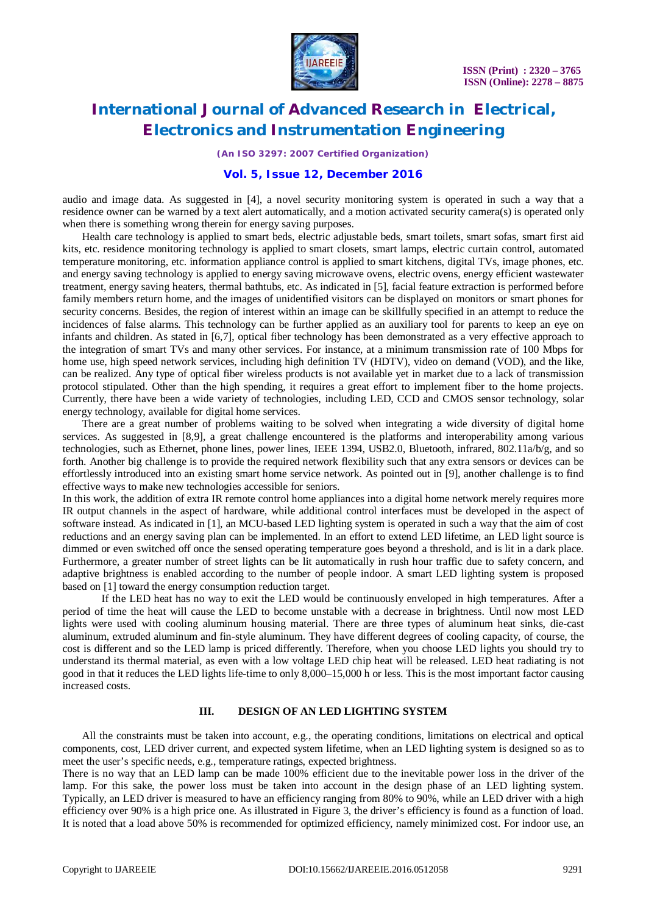

*(An ISO 3297: 2007 Certified Organization)*

### **Vol. 5, Issue 12, December 2016**

audio and image data. As suggested in [4], a novel security monitoring system is operated in such a way that a residence owner can be warned by a text alert automatically, and a motion activated security camera(s) is operated only when there is something wrong therein for energy saving purposes.

Health care technology is applied to smart beds, electric adjustable beds, smart toilets, smart sofas, smart first aid kits, etc. residence monitoring technology is applied to smart closets, smart lamps, electric curtain control, automated temperature monitoring, etc. information appliance control is applied to smart kitchens, digital TVs, image phones, etc. and energy saving technology is applied to energy saving microwave ovens, electric ovens, energy efficient wastewater treatment, energy saving heaters, thermal bathtubs, etc. As indicated in [5], facial feature extraction is performed before family members return home, and the images of unidentified visitors can be displayed on monitors or smart phones for security concerns. Besides, the region of interest within an image can be skillfully specified in an attempt to reduce the incidences of false alarms. This technology can be further applied as an auxiliary tool for parents to keep an eye on infants and children. As stated in [6,7], optical fiber technology has been demonstrated as a very effective approach to the integration of smart TVs and many other services. For instance, at a minimum transmission rate of 100 Mbps for home use, high speed network services, including high definition TV (HDTV), video on demand (VOD), and the like, can be realized. Any type of optical fiber wireless products is not available yet in market due to a lack of transmission protocol stipulated. Other than the high spending, it requires a great effort to implement fiber to the home projects. Currently, there have been a wide variety of technologies, including LED, CCD and CMOS sensor technology, solar energy technology, available for digital home services.

There are a great number of problems waiting to be solved when integrating a wide diversity of digital home services. As suggested in [8,9], a great challenge encountered is the platforms and interoperability among various technologies, such as Ethernet, phone lines, power lines, IEEE 1394, USB2.0, Bluetooth, infrared, 802.11a/b/g, and so forth. Another big challenge is to provide the required network flexibility such that any extra sensors or devices can be effortlessly introduced into an existing smart home service network. As pointed out in [9], another challenge is to find effective ways to make new technologies accessible for seniors.

In this work, the addition of extra IR remote control home appliances into a digital home network merely requires more IR output channels in the aspect of hardware, while additional control interfaces must be developed in the aspect of software instead. As indicated in [1], an MCU-based LED lighting system is operated in such a way that the aim of cost reductions and an energy saving plan can be implemented. In an effort to extend LED lifetime, an LED light source is dimmed or even switched off once the sensed operating temperature goes beyond a threshold, and is lit in a dark place. Furthermore, a greater number of street lights can be lit automatically in rush hour traffic due to safety concern, and adaptive brightness is enabled according to the number of people indoor. A smart LED lighting system is proposed based on [1] toward the energy consumption reduction target.

If the LED heat has no way to exit the LED would be continuously enveloped in high temperatures. After a period of time the heat will cause the LED to become unstable with a decrease in brightness. Until now most LED lights were used with cooling aluminum housing material. There are three types of aluminum heat sinks, die-cast aluminum, extruded aluminum and fin-style aluminum. They have different degrees of cooling capacity, of course, the cost is different and so the LED lamp is priced differently. Therefore, when you choose LED lights you should try to understand its thermal material, as even with a low voltage LED chip heat will be released. LED heat radiating is not good in that it reduces the LED lights life-time to only 8,000–15,000 h or less. This is the most important factor causing increased costs.

### **III. DESIGN OF AN LED LIGHTING SYSTEM**

All the constraints must be taken into account, e.g., the operating conditions, limitations on electrical and optical components, cost, LED driver current, and expected system lifetime, when an LED lighting system is designed so as to meet the user's specific needs, e.g., temperature ratings, expected brightness.

There is no way that an LED lamp can be made 100% efficient due to the inevitable power loss in the driver of the lamp. For this sake, the power loss must be taken into account in the design phase of an LED lighting system. Typically, an LED driver is measured to have an efficiency ranging from 80% to 90%, while an LED driver with a high efficiency over 90% is a high price one. As illustrated in Figure 3, the driver's efficiency is found as a function of load. It is noted that a load above 50% is recommended for optimized efficiency, namely minimized cost. For indoor use, an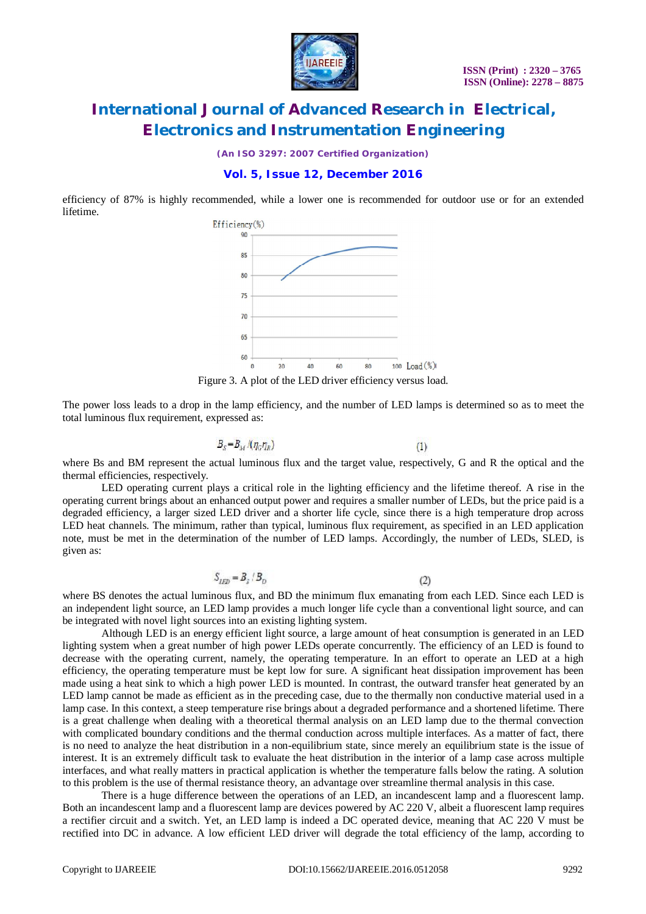

*(An ISO 3297: 2007 Certified Organization)*

### **Vol. 5, Issue 12, December 2016**

efficiency of 87% is highly recommended, while a lower one is recommended for outdoor use or for an extended lifetime.



Figure 3. A plot of the LED driver efficiency versus load.

The power loss leads to a drop in the lamp efficiency, and the number of LED lamps is determined so as to meet the total luminous flux requirement, expressed as:

$$
B_{\rm S} = B_M / (\eta_{\rm G} \eta_{\rm R}) \tag{1}
$$

where Bs and BM represent the actual luminous flux and the target value, respectively, G and R the optical and the thermal efficiencies, respectively.

LED operating current plays a critical role in the lighting efficiency and the lifetime thereof. A rise in the operating current brings about an enhanced output power and requires a smaller number of LEDs, but the price paid is a degraded efficiency, a larger sized LED driver and a shorter life cycle, since there is a high temperature drop across LED heat channels. The minimum, rather than typical, luminous flux requirement, as specified in an LED application note, must be met in the determination of the number of LED lamps. Accordingly, the number of LEDs, SLED, is given as:

$$
S_{LED} = B_s \cdot B_D \tag{2}
$$

where BS denotes the actual luminous flux, and BD the minimum flux emanating from each LED. Since each LED is an independent light source, an LED lamp provides a much longer life cycle than a conventional light source, and can be integrated with novel light sources into an existing lighting system.

Although LED is an energy efficient light source, a large amount of heat consumption is generated in an LED lighting system when a great number of high power LEDs operate concurrently. The efficiency of an LED is found to decrease with the operating current, namely, the operating temperature. In an effort to operate an LED at a high efficiency, the operating temperature must be kept low for sure. A significant heat dissipation improvement has been made using a heat sink to which a high power LED is mounted. In contrast, the outward transfer heat generated by an LED lamp cannot be made as efficient as in the preceding case, due to the thermally non conductive material used in a lamp case. In this context, a steep temperature rise brings about a degraded performance and a shortened lifetime. There is a great challenge when dealing with a theoretical thermal analysis on an LED lamp due to the thermal convection with complicated boundary conditions and the thermal conduction across multiple interfaces. As a matter of fact, there is no need to analyze the heat distribution in a non-equilibrium state, since merely an equilibrium state is the issue of interest. It is an extremely difficult task to evaluate the heat distribution in the interior of a lamp case across multiple interfaces, and what really matters in practical application is whether the temperature falls below the rating. A solution to this problem is the use of thermal resistance theory, an advantage over streamline thermal analysis in this case.

There is a huge difference between the operations of an LED, an incandescent lamp and a fluorescent lamp. Both an incandescent lamp and a fluorescent lamp are devices powered by AC 220 V, albeit a fluorescent lamp requires a rectifier circuit and a switch. Yet, an LED lamp is indeed a DC operated device, meaning that AC 220 V must be rectified into DC in advance. A low efficient LED driver will degrade the total efficiency of the lamp, according to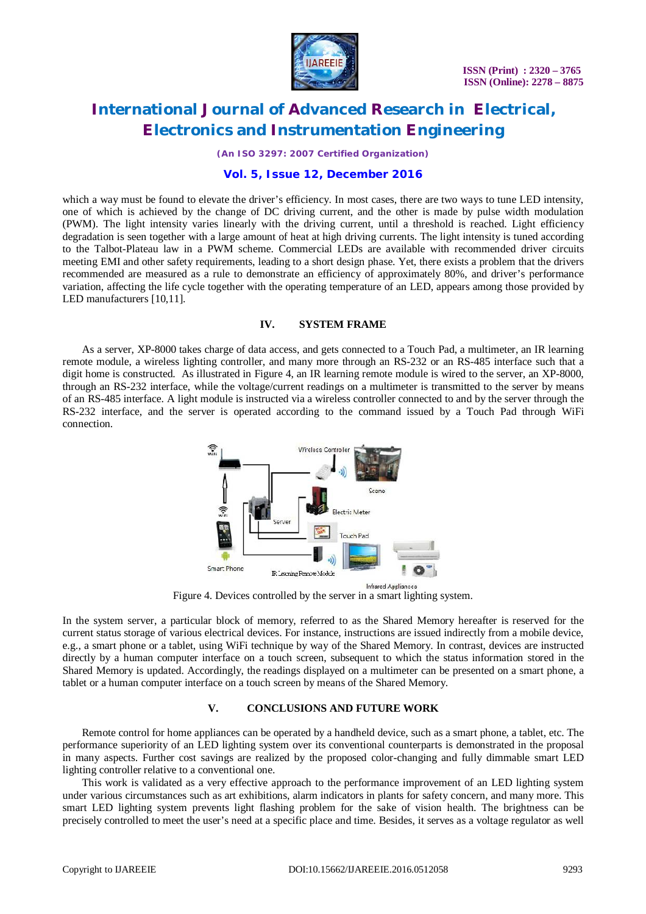

*(An ISO 3297: 2007 Certified Organization)*

### **Vol. 5, Issue 12, December 2016**

which a way must be found to elevate the driver's efficiency. In most cases, there are two ways to tune LED intensity, one of which is achieved by the change of DC driving current, and the other is made by pulse width modulation (PWM). The light intensity varies linearly with the driving current, until a threshold is reached. Light efficiency degradation is seen together with a large amount of heat at high driving currents. The light intensity is tuned according to the Talbot-Plateau law in a PWM scheme. Commercial LEDs are available with recommended driver circuits meeting EMI and other safety requirements, leading to a short design phase. Yet, there exists a problem that the drivers recommended are measured as a rule to demonstrate an efficiency of approximately 80%, and driver's performance variation, affecting the life cycle together with the operating temperature of an LED, appears among those provided by LED manufacturers [10,11].

### **IV. SYSTEM FRAME**

As a server, XP-8000 takes charge of data access, and gets connected to a Touch Pad, a multimeter, an IR learning remote module, a wireless lighting controller, and many more through an RS-232 or an RS-485 interface such that a digit home is constructed. As illustrated in Figure 4, an IR learning remote module is wired to the server, an XP-8000, through an RS-232 interface, while the voltage/current readings on a multimeter is transmitted to the server by means of an RS-485 interface. A light module is instructed via a wireless controller connected to and by the server through the RS-232 interface, and the server is operated according to the command issued by a Touch Pad through WiFi connection.



Figure 4. Devices controlled by the server in a smart lighting system.

In the system server, a particular block of memory, referred to as the Shared Memory hereafter is reserved for the current status storage of various electrical devices. For instance, instructions are issued indirectly from a mobile device, e.g., a smart phone or a tablet, using WiFi technique by way of the Shared Memory. In contrast, devices are instructed directly by a human computer interface on a touch screen, subsequent to which the status information stored in the Shared Memory is updated. Accordingly, the readings displayed on a multimeter can be presented on a smart phone, a tablet or a human computer interface on a touch screen by means of the Shared Memory.

### **V. CONCLUSIONS AND FUTURE WORK**

Remote control for home appliances can be operated by a handheld device, such as a smart phone, a tablet, etc. The performance superiority of an LED lighting system over its conventional counterparts is demonstrated in the proposal in many aspects. Further cost savings are realized by the proposed color-changing and fully dimmable smart LED lighting controller relative to a conventional one.

This work is validated as a very effective approach to the performance improvement of an LED lighting system under various circumstances such as art exhibitions, alarm indicators in plants for safety concern, and many more. This smart LED lighting system prevents light flashing problem for the sake of vision health. The brightness can be precisely controlled to meet the user's need at a specific place and time. Besides, it serves as a voltage regulator as well